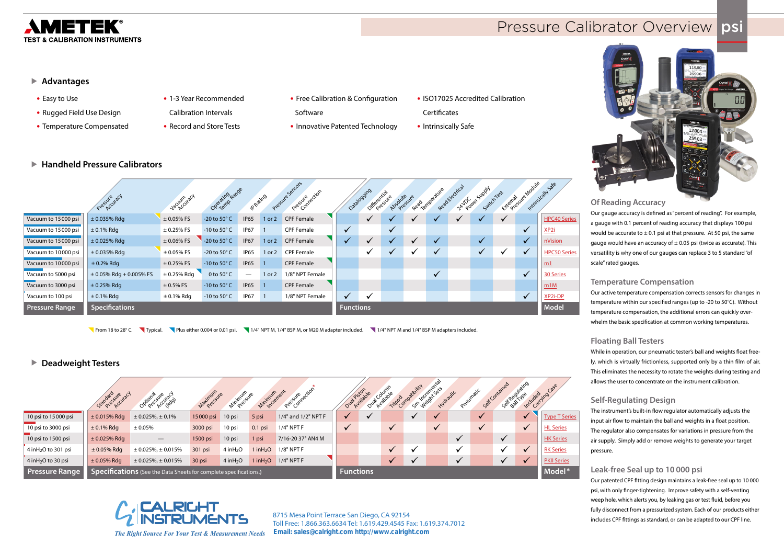

# **Pressure Calibrator Overview psi**

# ▶ Advantages

#### **Of Reading Accuracy**

Our gauge accuracy is defined as "percent of reading". For example, a gauge with 0.1 percent of reading accuracy that displays 100 psi would be accurate to  $\pm$  0.1 psi at that pressure. At 50 psi, the same gauge would have an accuracy of  $\pm$  0.05 psi (twice as accurate). This versatility is why one of our gauges can replace 3 to 5 standard "of scale" rated gauges.

#### **Temperature Compensation**

Our active temperature compensation corrects sensors for changes in temperature within our specified ranges (up to -20 to 50°C). Without temperature compensation, the additional errors can quickly overwhelm the basic specification at common working temperatures.

# **Floating Ball Testers**

While in operation, our pneumatic tester's ball and weights float freely, which is virtually frictionless, supported only by a thin film of air. This eliminates the necessity to rotate the weights during testing and allows the user to concentrate on the instrument calibration.

# **Self-Regulating Design**

The instrument's built-in flow regulator automatically adjusts the input air flow to maintain the ball and weights in a float position. The regulator also compensates for variations in pressure from the air supply. Simply add or remove weights to generate your target pressure.

# **Leak-free Seal up to 10 000 psi**

Our patented CPF fitting design maintains a leak-free seal up to 10 000 psi, with only finger-tightening. Improve safety with a self-venting weep hole, which alerts you, by leaking gas or test fluid, before you fully disconnect from a pressurized system. Each of our products either includes CPF fittings as standard, or can be adapted to our CPF line.

- **•** Easy to Use
- **•** Rugged Field Use Design
- **•** Temperature Compensated
- **•** 1-3 Year Recommended
- Calibration Intervals
- **•** Record and Store Tests
- **•** Free Calibration & Configuration
- Software **•** Innovative Patented Technology
- **•** ISO17025 Accredited Calibration
- **Certificates**
- **•** Intrinsically Safe

|                       | Pressure utacy              | Vacuum racy     | Operating <sub>Range</sub> | P. Rating                |                | Pressure Sensors<br>Pressure crion | Databoging       | Oifferential | Absolute sure<br>Pressive | Read Lemberature |              | Read Electrical<br>ZAY Power Supply | Switch Test  |              | Exercise sye Module | Intrinsically Sale  |
|-----------------------|-----------------------------|-----------------|----------------------------|--------------------------|----------------|------------------------------------|------------------|--------------|---------------------------|------------------|--------------|-------------------------------------|--------------|--------------|---------------------|---------------------|
| Vacuum to 15000 psi   | $± 0.035%$ Rdg              | $± 0.05%$ FS    | -20 to 50° C               | <b>IP65</b>              | $1$ or $2$     | <b>CPF Female</b>                  |                  |              |                           |                  |              |                                     | $\checkmark$ | $\checkmark$ |                     | <b>HPC40 Series</b> |
| Vacuum to 15000 psi   | $\pm$ 0.1% Rdg              | $\pm$ 0.25% FS  | -10 to 50 $^{\circ}$ C     | <b>IP67</b>              |                | <b>CPF Female</b>                  | $\checkmark$     |              | $\checkmark$              |                  |              |                                     |              |              | $\checkmark$        | XP2i                |
| Vacuum to 15000 psi   | $± 0.025%$ Rdg              | $\pm$ 0.06% FS  | -20 to 50° C               | <b>IP67</b>              | $1$ or $2$     | <b>CPF Female</b>                  |                  | ✔            | $\checkmark$              | $\checkmark$     | $\checkmark$ |                                     | $\checkmark$ |              | $\sqrt{}$           | nVision             |
| Vacuum to 10000 psi   | $\pm$ 0.035% Rdg            | $\pm$ 0.05% FS  | -20 to 50 $^{\circ}$ C     | <b>IP65</b>              | 1 or 2         | <b>CPF Female</b>                  |                  |              | $\checkmark$              |                  | $\checkmark$ |                                     | $\checkmark$ |              | $\checkmark$        | <b>HPC50 Series</b> |
| Vacuum to 10000 psi   | $\pm$ 0.2% Rdg              | ± 0.25% FS      | -10 to $50^{\circ}$ C      | <b>IP65</b>              |                | <b>CPF Female</b>                  |                  |              |                           |                  |              |                                     |              |              |                     | m1                  |
| Vacuum to 5000 psi    | $\pm$ 0.05% Rdg + 0.005% FS | $\pm$ 0.25% Rdg | 0 to $50^{\circ}$ C        | $\overline{\phantom{m}}$ | 1 or 2         | 1/8" NPT Female                    |                  |              |                           |                  | $\checkmark$ |                                     |              |              | $\checkmark$        | 30 Series           |
| Vacuum to 3000 psi    | $\pm$ 0.25% Rdg             | $\pm$ 0.5% FS   | -10 to 50 $^{\circ}$ C     | <b>IP65</b>              |                | <b>CPF Female</b>                  |                  |              |                           |                  |              |                                     |              |              |                     | m1M                 |
| Vacuum to 100 psi     | $\pm$ 0.1% Rdg              | $\pm$ 0.1% Rdg  | -10 to 50 $^{\circ}$ C     | IP67                     | $\blacksquare$ | 1/8" NPT Female                    | $\checkmark$     | $\checkmark$ |                           |                  |              |                                     |              |              | $\checkmark$        | XP2i-DP             |
| <b>Pressure Range</b> | <b>Specifications</b>       |                 |                            |                          |                |                                    | <b>Functions</b> |              |                           |                  |              |                                     |              |              |                     | <b>Model</b>        |

- 
- 
- From 18 to 28° C. Typical. Plus either 0.004 or 0.01 psi. 1/4" NPT M, 1/4" BSP M, or M20 M adapter included. 1/4" NPT M and 1/4" BSP M adapters included.
	-

|                                   | Standard syle uracl | Optional streward                                                 | Maximum vie      | <b>Minimum</b>          | Minimum ent   | Pressive crion      |              | Oual pistonic | Oual County  | Tirior Compatibility | Sm. Weidne Seis<br>Hydraulic | Preumatic    |              | Set Contained | Set Regulating          | included ing case    |
|-----------------------------------|---------------------|-------------------------------------------------------------------|------------------|-------------------------|---------------|---------------------|--------------|---------------|--------------|----------------------|------------------------------|--------------|--------------|---------------|-------------------------|----------------------|
| 10 psi to 15000 psi               | $± 0.015%$ Rdg      | $\pm$ 0.025%, $\pm$ 0.1%                                          | 15000 psi        | 10 psi                  | 5 psi         | 1/4" and 1/2" NPT F | $\checkmark$ | $\checkmark$  |              |                      |                              |              | $\checkmark$ |               |                         | <b>Type T Series</b> |
| 10 psi to 3000 psi                | $\pm$ 0.1% Rdg      | ± 0.05%                                                           | 3000 psi         | 10 psi                  | $0.1$ psi     | $1/4"$ NPT F        | $\checkmark$ |               | $\checkmark$ |                      | $\checkmark$                 |              | $\checkmark$ |               | $\checkmark$            | <b>HL Series</b>     |
| 10 psi to 1500 psi                | $\pm$ 0.025% Rdg    | $\hspace{0.05cm}$                                                 | 1500 psi         | 10 psi                  | 1 psi         | 7/16-20 37° AN4 M   |              |               |              |                      |                              | $\checkmark$ |              | $\checkmark$  |                         | <b>HK Series</b>     |
| 4 inH <sub>2</sub> O to 301 psi   | $\pm$ 0.05% Rdg     | $\pm$ 0.025%, $\pm$ 0.015%                                        | 301 psi          | $4$ in H <sub>2</sub> O | $1$ in $H_2O$ | $1/8"$ NPT F        |              |               |              | $\checkmark$         |                              |              |              |               | $\checkmark$            | <b>RK Series</b>     |
| $4$ in H <sub>2</sub> O to 30 psi | $\pm$ 0.05% Rdg     | $\pm$ 0.025%, $\pm$ 0.015%                                        | 30 psi           | $4$ in $H2O$            | $1$ in $H2O$  | $1/4"$ NPT F        |              |               |              |                      |                              |              |              |               | $\overline{\mathbf{v}}$ | <b>PKII Series</b>   |
| <b>Pressure Range</b>             |                     | Specifications (See the Data Sheets for complete specifications.) | <b>Functions</b> |                         |               |                     |              |               |              |                      |                              | Model*       |              |               |                         |                      |



# X **Deadweight Testers**

X **Handheld Pressure Calibrators**



*The Right Source For Your Test & Measurement Needs*

**8715 Mesa Point Terrace San Diego, CA 92154 Toll Free: 1.866.363.6634 Tel: 1.619.429.4545 Fax: 1.619.374.7012 Email: sales@calright.com http://www.calright.com**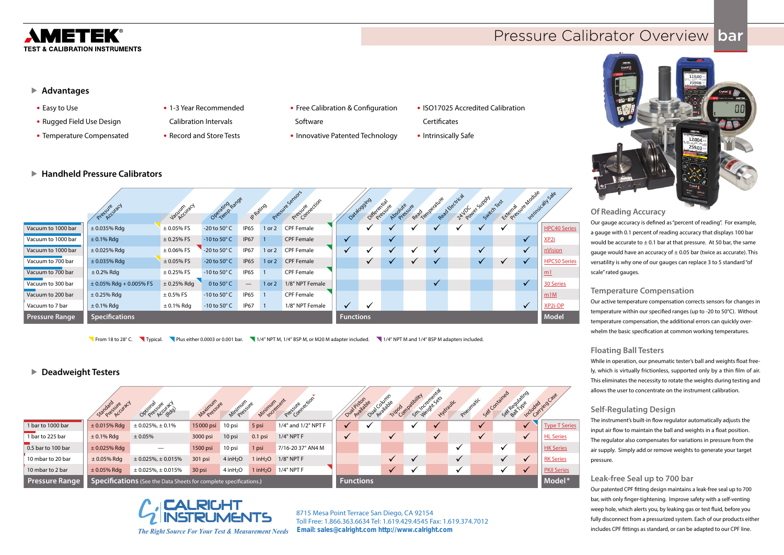

# **Pressure Calibrator Overview bar**

# ▶ Advantages

# **Of Reading Accuracy**

Our gauge accuracy is defined as "percent of reading". For example, a gauge with 0.1 percent of reading accuracy that displays 100 bar would be accurate to  $\pm$  0.1 bar at that pressure. At 50 bar, the same gauge would have an accuracy of  $\pm$  0.05 bar (twice as accurate). This versatility is why one of our gauges can replace 3 to 5 standard "of scale" rated gauges.

#### **Temperature Compensation**

Our active temperature compensation corrects sensors for changes in temperature within our specified ranges (up to -20 to 50°C). Without temperature compensation, the additional errors can quickly overwhelm the basic specification at common working temperatures.

#### **Floating Ball Testers**

While in operation, our pneumatic tester's ball and weights float freely, which is virtually frictionless, supported only by a thin film of air. This eliminates the necessity to rotate the weights during testing and allows the user to concentrate on the instrument calibration.

# **Self-Regulating Design**

The instrument's built-in flow regulator automatically adjusts the input air flow to maintain the ball and weights in a float position. The regulator also compensates for variations in pressure from the air supply. Simply add or remove weights to generate your target pressure.

#### **Leak-free Seal up to 700 bar**

Our patented CPF fitting design maintains a leak-free seal up to 700 bar, with only finger-tightening. Improve safety with a self-venting weep hole, which alerts you, by leaking gas or test fluid, before you fully disconnect from a pressurized system. Each of our products either includes CPF fittings as standard, or can be adapted to our CPF line.

- **•** Easy to Use
- **•** Rugged Field Use Design
- **•** Temperature Compensated

▶ Handheld Pressure Calibrators

**•** 1-3 Year Recommended

Calibration Intervals

- **•** Record and Store Tests
- **•** Free Calibration & Configuration Software
	-
- **•** Innovative Patented Technology
- **•** ISO17025 Accredited Calibration **Certificates**
- **•** Intrinsically Safe

|                       | Pressure uracy              | Vacuum de d     | Operating <sub>Range</sub> | P. Rating                |            | Pressive Sensors<br>Pressive exion |                  | Databoging<br>Oifferentiale | Absolute sure |                         | Read Lemperature | Read Electrical | ZAVOCaler Supply<br>SwitchTest | Exemployee Module | Intrinsically sale  |
|-----------------------|-----------------------------|-----------------|----------------------------|--------------------------|------------|------------------------------------|------------------|-----------------------------|---------------|-------------------------|------------------|-----------------|--------------------------------|-------------------|---------------------|
| Vacuum to 1000 bar    | $± 0.035%$ Rdg              | $± 0.05%$ FS    | -20 to 50°C                | IP65                     | $1$ or $2$ | <b>CPF Female</b>                  |                  |                             |               |                         |                  |                 |                                |                   | <b>HPC40 Series</b> |
| Vacuum to 1000 bar    | $± 0.1\%$ Rdg               | $\pm$ 0.25% FS  | -10 to 50 $^{\circ}$ C     | <b>IP67</b>              |            | <b>CPF Female</b>                  |                  |                             | $\checkmark$  |                         |                  |                 |                                | $\checkmark$      | XP <sub>2i</sub>    |
| Vacuum to 1000 bar    | $\pm$ 0.025% Rdg            | $\pm$ 0.06% FS  | -20 to 50° C               | <b>IP67</b>              | $1$ or $2$ | CPF Female                         |                  |                             | $\checkmark$  | $\overline{\mathbf{v}}$ | $\checkmark$     |                 | $\checkmark$                   | $\checkmark$      | nVision             |
| Vacuum to 700 bar     | $± 0.035%$ Rdg              | $\pm$ 0.05% FS  | -20 to $50^{\circ}$ C      | <b>IP65</b>              | 1 or 2     | <b>CPF Female</b>                  |                  | $\checkmark$                |               | $\checkmark$            | $\checkmark$     |                 | $\checkmark$                   | $\checkmark$      | <b>HPC50 Series</b> |
| Vacuum to 700 bar     | $\pm$ 0.2% Rdg              | $± 0.25%$ FS    | $-10$ to $50^{\circ}$ C    | <b>IP65</b>              |            | <b>CPF Female</b>                  |                  |                             |               |                         |                  |                 |                                |                   | m1                  |
| Vacuum to 300 bar     | $\pm$ 0.05% Rdg + 0.005% FS | $\pm$ 0.25% Rdg | 0 to 50°C                  | $\overline{\phantom{0}}$ | 1 or 2     | 1/8" NPT Female                    |                  |                             |               |                         | $\checkmark$     |                 |                                | $\checkmark$      | 30 Series           |
| Vacuum to 200 bar     | $\pm$ 0.25% Rdg             | $\pm$ 0.5% FS   | -10 to 50 $^{\circ}$ C     | <b>IP65</b>              |            | <b>CPF Female</b>                  |                  |                             |               |                         |                  |                 |                                |                   | m1M                 |
| Vacuum to 7 bar       | $\pm$ 0.1% Rdg              | $\pm$ 0.1% Rdg  | -10 to 50 $^{\circ}$ C     | IP67                     |            | 1/8" NPT Female                    |                  |                             |               |                         |                  |                 |                                | $\checkmark$      | XP2i-DP             |
| <b>Pressure Range</b> | <b>Specifications</b>       |                 |                            |                          |            |                                    | <b>Functions</b> |                             |               |                         |                  |                 |                                |                   | <b>Model</b>        |

|                       | Standard Area (curacy                                             | Optional syle urach        | Matimum   | Minimum Sure | Minimum Arenest | Pressure ection     |  | Oual piston de | Ova Columne<br>Tripod | patibility | Sm Weights ass<br>Hydraulic | Preumatic    |              | Set Contained | Set Regulating | included ing case    |
|-----------------------|-------------------------------------------------------------------|----------------------------|-----------|--------------|-----------------|---------------------|--|----------------|-----------------------|------------|-----------------------------|--------------|--------------|---------------|----------------|----------------------|
| 1 bar to 1000 bar     | $\pm$ 0.015% Rdg                                                  | $\pm$ 0.025%, $\pm$ 0.1%   | 15000 psi | 10 psi       | 5 psi           | 1/4" and 1/2" NPT F |  |                |                       |            |                             |              | $\checkmark$ |               |                | <b>Type T Series</b> |
| 1 bar to 225 bar      | $\pm$ 0.1% Rdg                                                    | ± 0.05%                    | 3000 psi  | 10 psi       | $0.1$ psi       | $1/4"$ NPT F        |  |                |                       |            |                             |              |              |               |                | <b>HL Series</b>     |
| 0.5 bar to 100 bar    | $\pm$ 0.025% Rdg                                                  |                            | 1500 psi  | 10 psi       | 1 psi           | 7/16-20 37° AN4 M   |  |                |                       |            |                             | $\checkmark$ |              | v             |                | <b>HK Series</b>     |
| 10 mbar to 20 bar     | $\pm$ 0.05% Rdg                                                   | $\pm$ 0.025%, $\pm$ 0.015% | 301 psi   | $4$ in $H2O$ | 1 in $H_2O$     | 1/8" NPT F          |  |                |                       |            |                             |              |              |               |                | <b>RK Series</b>     |
| 10 mbar to 2 bar      | $\pm$ 0.05% Rdg                                                   | $\pm$ 0.025%, $\pm$ 0.015% | 30 psi    | $4$ in $H2O$ | $1$ in $H2O$    | $1/4"$ NPT F        |  |                |                       |            |                             | v            |              |               | $\checkmark$   | <b>PKII Series</b>   |
| <b>Pressure Range</b> | Specifications (See the Data Sheets for complete specifications.) | <b>Functions</b>           |           |              |                 |                     |  |                |                       |            | Model*                      |              |              |               |                |                      |

From 18 to 28° C. Typical. Plus either 0.0003 or 0.001 bar. 1/4" NPT M, 1/4" BSP M, or M20 M adapter included. 1/4" NPT M and 1/4" BSP M adapters included.

# X **Deadweight Testers**



**8715 Mesa Point Terrace San Diego, CA 92154 Toll Free: 1.866.363.6634 Tel: 1.619.429.4545 Fax: 1.619.374.7012 Email: sales@calright.com http://www.calright.com**